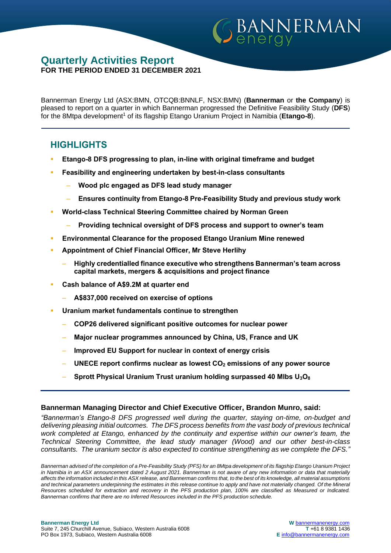# BANNERMAN

## **Quarterly Activities Report FOR THE PERIOD ENDED 31 DECEMBER 2021**

Bannerman Energy Ltd (ASX:BMN, OTCQB:BNNLF, NSX:BMN) (**Bannerman** or **the Company**) is pleased to report on a quarter in which Bannerman progressed the Definitive Feasibility Study (**DFS**) for the 8Mtpa development<sup>1</sup> of its flagship Etango Uranium Project in Namibia (**Etango-8**).

# **HIGHLIGHTS**

- **Etango-8 DFS progressing to plan, in-line with original timeframe and budget**
- **Feasibility and engineering undertaken by best-in-class consultants**
	- ‒ **Wood plc engaged as DFS lead study manager**
	- ‒ **Ensures continuity from Etango-8 Pre-Feasibility Study and previous study work**
- **World-class Technical Steering Committee chaired by Norman Green**
	- ‒ **Providing technical oversight of DFS process and support to owner's team**
- **Environmental Clearance for the proposed Etango Uranium Mine renewed**
- **Appointment of Chief Financial Officer, Mr Steve Herlihy**
	- ‒ **Highly credentialled finance executive who strengthens Bannerman's team across capital markets, mergers & acquisitions and project finance**
- **Cash balance of A\$9.2M at quarter end**
	- ‒ **A\$837,000 received on exercise of options**
- **Uranium market fundamentals continue to strengthen** 
	- ‒ **COP26 delivered significant positive outcomes for nuclear power**
	- ‒ **Major nuclear programmes announced by China, US, France and UK**
	- ‒ **Improved EU Support for nuclear in context of energy crisis**
	- ‒ **UNECE report confirms nuclear as lowest CO<sup>2</sup> emissions of any power source**
	- ‒ **Sprott Physical Uranium Trust uranium holding surpassed 40 Mlbs U3O<sup>8</sup>**

## **Bannerman Managing Director and Chief Executive Officer, Brandon Munro, said:**

*"Bannerman's Etango-8 DFS progressed well during the quarter, staying on-time, on-budget and delivering pleasing initial outcomes. The DFS process benefits from the vast body of previous technical work completed at Etango, enhanced by the continuity and expertise within our owner's team, the Technical Steering Committee, the lead study manager (Wood) and our other best-in-class consultants. The uranium sector is also expected to continue strengthening as we complete the DFS."*

*Bannerman advised of the completion of a Pre-Feasibility Study (PFS) for an 8Mtpa development of its flagship Etango Uranium Project in Namibia in an ASX announcement dated 2 August 2021. Bannerman is not aware of any new information or data that materially affects the information included in this ASX release, and Bannerman confirms that, to the best of its knowledge, all material assumptions and technical parameters underpinning the estimates in this release continue to apply and have not materially changed. Of the Mineral Resources scheduled for extraction and recovery in the PFS production plan, 100% are classified as Measured or Indicated. Bannerman confirms that there are no Inferred Resources included in the PFS production schedule.*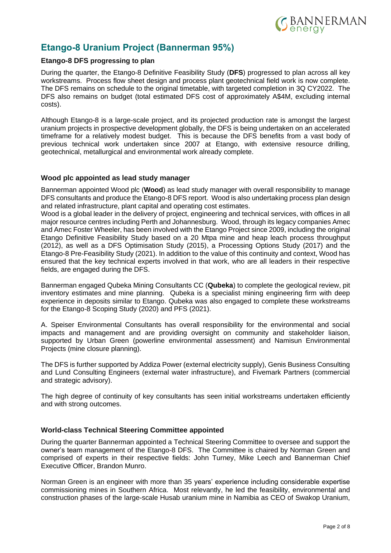

# **Etango-8 Uranium Project (Bannerman 95%)**

#### **Etango-8 DFS progressing to plan**

During the quarter, the Etango-8 Definitive Feasibility Study (**DFS**) progressed to plan across all key workstreams. Process flow sheet design and process plant geotechnical field work is now complete. The DFS remains on schedule to the original timetable, with targeted completion in 3Q CY2022. The DFS also remains on budget (total estimated DFS cost of approximately A\$4M, excluding internal costs).

Although Etango-8 is a large-scale project, and its projected production rate is amongst the largest uranium projects in prospective development globally, the DFS is being undertaken on an accelerated timeframe for a relatively modest budget. This is because the DFS benefits from a vast body of previous technical work undertaken since 2007 at Etango, with extensive resource drilling, geotechnical, metallurgical and environmental work already complete.

#### **Wood plc appointed as lead study manager**

Bannerman appointed Wood plc (**Wood**) as lead study manager with overall responsibility to manage DFS consultants and produce the Etango-8 DFS report. Wood is also undertaking process plan design and related infrastructure, plant capital and operating cost estimates.

Wood is a global leader in the delivery of project, engineering and technical services, with offices in all major resource centres including Perth and Johannesburg. Wood, through its legacy companies Amec and Amec Foster Wheeler, has been involved with the Etango Project since 2009, including the original Etango Definitive Feasibility Study based on a 20 Mtpa mine and heap leach process throughput (2012), as well as a DFS Optimisation Study (2015), a Processing Options Study (2017) and the Etango-8 Pre-Feasibility Study (2021). In addition to the value of this continuity and context, Wood has ensured that the key technical experts involved in that work, who are all leaders in their respective fields, are engaged during the DFS.

Bannerman engaged Qubeka Mining Consultants CC (**Qubeka**) to complete the geological review, pit inventory estimates and mine planning. Qubeka is a specialist mining engineering firm with deep experience in deposits similar to Etango. Qubeka was also engaged to complete these workstreams for the Etango-8 Scoping Study (2020) and PFS (2021).

A. Speiser Environmental Consultants has overall responsibility for the environmental and social impacts and management and are providing oversight on community and stakeholder liaison, supported by Urban Green (powerline environmental assessment) and Namisun Environmental Projects (mine closure planning).

The DFS is further supported by Addiza Power (external electricity supply), Genis Business Consulting and Lund Consulting Engineers (external water infrastructure), and Fivemark Partners (commercial and strategic advisory).

The high degree of continuity of key consultants has seen initial workstreams undertaken efficiently and with strong outcomes.

#### **World-class Technical Steering Committee appointed**

During the quarter Bannerman appointed a Technical Steering Committee to oversee and support the owner's team management of the Etango-8 DFS. The Committee is chaired by Norman Green and comprised of experts in their respective fields: John Turney, Mike Leech and Bannerman Chief Executive Officer, Brandon Munro.

Norman Green is an engineer with more than 35 years' experience including considerable expertise commissioning mines in Southern Africa. Most relevantly, he led the feasibility, environmental and construction phases of the large-scale Husab uranium mine in Namibia as CEO of Swakop Uranium,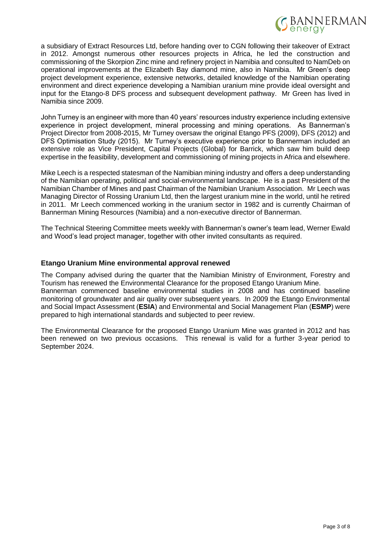

a subsidiary of Extract Resources Ltd, before handing over to CGN following their takeover of Extract in 2012. Amongst numerous other resources projects in Africa, he led the construction and commissioning of the Skorpion Zinc mine and refinery project in Namibia and consulted to NamDeb on operational improvements at the Elizabeth Bay diamond mine, also in Namibia. Mr Green's deep project development experience, extensive networks, detailed knowledge of the Namibian operating environment and direct experience developing a Namibian uranium mine provide ideal oversight and input for the Etango-8 DFS process and subsequent development pathway. Mr Green has lived in Namibia since 2009.

John Turney is an engineer with more than 40 years' resources industry experience including extensive experience in project development, mineral processing and mining operations. As Bannerman's Project Director from 2008-2015, Mr Turney oversaw the original Etango PFS (2009), DFS (2012) and DFS Optimisation Study (2015). Mr Turney's executive experience prior to Bannerman included an extensive role as Vice President, Capital Projects (Global) for Barrick, which saw him build deep expertise in the feasibility, development and commissioning of mining projects in Africa and elsewhere.

Mike Leech is a respected statesman of the Namibian mining industry and offers a deep understanding of the Namibian operating, political and social-environmental landscape. He is a past President of the Namibian Chamber of Mines and past Chairman of the Namibian Uranium Association. Mr Leech was Managing Director of Rossing Uranium Ltd, then the largest uranium mine in the world, until he retired in 2011. Mr Leech commenced working in the uranium sector in 1982 and is currently Chairman of Bannerman Mining Resources (Namibia) and a non-executive director of Bannerman.

The Technical Steering Committee meets weekly with Bannerman's owner's team lead, Werner Ewald and Wood's lead project manager, together with other invited consultants as required.

#### **Etango Uranium Mine environmental approval renewed**

prepared to high international standards and subjected to peer review.

The Company advised during the quarter that the Namibian Ministry of Environment, Forestry and Tourism has renewed the Environmental Clearance for the proposed Etango Uranium Mine. Bannerman commenced baseline environmental studies in 2008 and has continued baseline monitoring of groundwater and air quality over subsequent years. In 2009 the Etango Environmental and Social Impact Assessment (**ESIA**) and Environmental and Social Management Plan (**ESMP**) were

The Environmental Clearance for the proposed Etango Uranium Mine was granted in 2012 and has been renewed on two previous occasions. This renewal is valid for a further 3-year period to September 2024.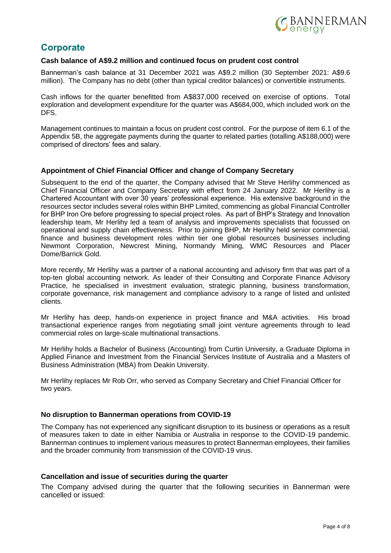

# **Corporate**

#### **Cash balance of A\$9.2 million and continued focus on prudent cost control**

Bannerman's cash balance at 31 December 2021 was A\$9.2 million (30 September 2021: A\$9.6 million). The Company has no debt (other than typical creditor balances) or convertible instruments.

Cash inflows for the quarter benefitted from A\$837,000 received on exercise of options. Total exploration and development expenditure for the quarter was A\$684,000, which included work on the DFS.

Management continues to maintain a focus on prudent cost control. For the purpose of item 6.1 of the Appendix 5B, the aggregate payments during the quarter to related parties (totalling A\$188,000) were comprised of directors' fees and salary.

#### **Appointment of Chief Financial Officer and change of Company Secretary**

Subsequent to the end of the quarter, the Company advised that Mr Steve Herlihy commenced as Chief Financial Officer and Company Secretary with effect from 24 January 2022. Mr Herlihy is a Chartered Accountant with over 30 years' professional experience. His extensive background in the resources sector includes several roles within BHP Limited, commencing as global Financial Controller for BHP Iron Ore before progressing to special project roles. As part of BHP's Strategy and Innovation leadership team, Mr Herlihy led a team of analysis and improvements specialists that focussed on operational and supply chain effectiveness. Prior to joining BHP, Mr Herlihy held senior commercial, finance and business development roles within tier one global resources businesses including Newmont Corporation, Newcrest Mining, Normandy Mining, WMC Resources and Placer Dome/Barrick Gold.

More recently, Mr Herlihy was a partner of a national accounting and advisory firm that was part of a top-ten global accounting network. As leader of their Consulting and Corporate Finance Advisory Practice, he specialised in investment evaluation, strategic planning, business transformation, corporate governance, risk management and compliance advisory to a range of listed and unlisted clients.

Mr Herlihy has deep, hands-on experience in project finance and M&A activities. His broad transactional experience ranges from negotiating small joint venture agreements through to lead commercial roles on large-scale multinational transactions.

Mr Herlihy holds a Bachelor of Business (Accounting) from Curtin University, a Graduate Diploma in Applied Finance and Investment from the Financial Services Institute of Australia and a Masters of Business Administration (MBA) from Deakin University.

Mr Herlihy replaces Mr Rob Orr, who served as Company Secretary and Chief Financial Officer for two years.

#### **No disruption to Bannerman operations from COVID-19**

The Company has not experienced any significant disruption to its business or operations as a result of measures taken to date in either Namibia or Australia in response to the COVID-19 pandemic. Bannerman continues to implement various measures to protect Bannerman employees, their families and the broader community from transmission of the COVID-19 virus.

#### **Cancellation and issue of securities during the quarter**

The Company advised during the quarter that the following securities in Bannerman were cancelled or issued: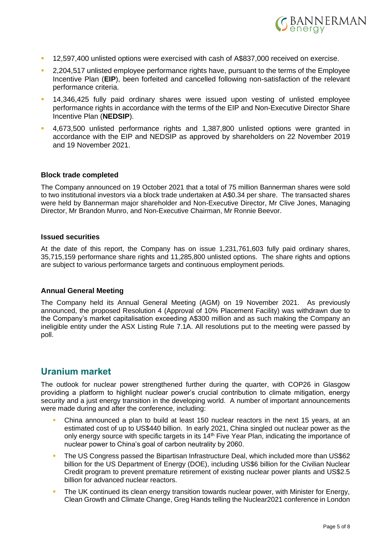

- 12,597,400 unlisted options were exercised with cash of A\$837,000 received on exercise.
- **2,204,517 unlisted employee performance rights have, pursuant to the terms of the Employee** Incentive Plan (**EIP**), been forfeited and cancelled following non-satisfaction of the relevant performance criteria.
- 14,346,425 fully paid ordinary shares were issued upon vesting of unlisted employee performance rights in accordance with the terms of the EIP and Non-Executive Director Share Incentive Plan (**NEDSIP**).
- 4,673,500 unlisted performance rights and 1,387,800 unlisted options were granted in accordance with the EIP and NEDSIP as approved by shareholders on 22 November 2019 and 19 November 2021.

#### **Block trade completed**

The Company announced on 19 October 2021 that a total of 75 million Bannerman shares were sold to two institutional investors via a block trade undertaken at A\$0.34 per share. The transacted shares were held by Bannerman major shareholder and Non-Executive Director, Mr Clive Jones, Managing Director, Mr Brandon Munro, and Non-Executive Chairman, Mr Ronnie Beevor.

#### **Issued securities**

At the date of this report, the Company has on issue 1,231,761,603 fully paid ordinary shares, 35,715,159 performance share rights and 11,285,800 unlisted options. The share rights and options are subject to various performance targets and continuous employment periods.

#### **Annual General Meeting**

The Company held its Annual General Meeting (AGM) on 19 November 2021. As previously announced, the proposed Resolution 4 (Approval of 10% Placement Facility) was withdrawn due to the Company's market capitalisation exceeding A\$300 million and as such making the Company an ineligible entity under the ASX Listing Rule 7.1A. All resolutions put to the meeting were passed by poll.

## **Uranium market**

The outlook for nuclear power strengthened further during the quarter, with COP26 in Glasgow providing a platform to highlight nuclear power's crucial contribution to climate mitigation, energy security and a just energy transition in the developing world. A number of important announcements were made during and after the conference, including:

- China announced a plan to build at least 150 nuclear reactors in the next 15 years, at an estimated cost of up to US\$440 billion. In early 2021, China singled out nuclear power as the only energy source with specific targets in its 14<sup>th</sup> Five Year Plan, indicating the importance of nuclear power to China's goal of carbon neutrality by 2060.
- The US Congress passed the Bipartisan Infrastructure Deal, which included more than US\$62 billion for the US Department of Energy (DOE), including US\$6 billion for the Civilian Nuclear Credit program to prevent premature retirement of existing nuclear power plants and US\$2.5 billion for advanced nuclear reactors.
- The UK continued its clean energy transition towards nuclear power, with Minister for Energy, Clean Growth and Climate Change, Greg Hands telling the Nuclear2021 conference in London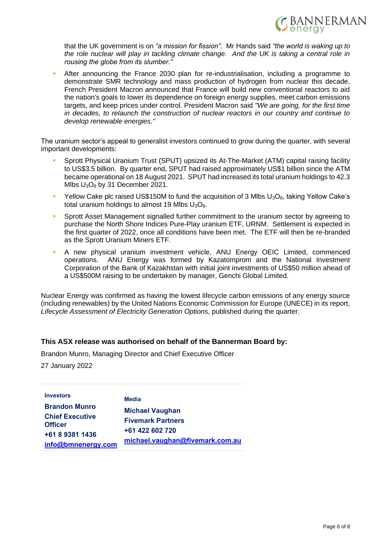

that the UK government is on *"a mission for fission"*. Mr Hands said *"the world is waking up to the role nuclear will play in tackling climate change. And the UK is taking a central role in rousing the globe from its slumber."*

▪ After announcing the France 2030 plan for re-industrialisation, including a programme to demonstrate SMR technology and mass production of hydrogen from nuclear this decade, French President Macron announced that France will build new conventional reactors to aid the nation's goals to lower its dependence on foreign energy supplies, meet carbon emissions targets, and keep prices under control. President Macron said *"We are going, for the first time in decades, to relaunch the construction of nuclear reactors in our country and continue to develop renewable energies."*

The uranium sector's appeal to generalist investors continued to grow during the quarter, with several important developments:

- Sprott Physical Uranium Trust (SPUT) upsized its At-The-Market (ATM) capital raising facility to US\$3.5 billion. By quarter end, SPUT had raised approximately US\$1 billion since the ATM became operational on 18 August 2021. SPUT had increased its total uranium holdings to 42.3 Mlbs  $U_3O_8$  by 31 December 2021.
- Yellow Cake plc raised US\$150M to fund the acquisition of 3 Mlbs  $U_3O_8$ , taking Yellow Cake's total uranium holdings to almost 19 Mlbs  $U_3O_8$ .
- Sprott Asset Management signalled further commitment to the uranium sector by agreeing to purchase the North Shore Indices Pure-Play uranium ETF, URNM. Settlement is expected in the first quarter of 2022, once all conditions have been met. The ETF will then be re-branded as the Sprott Uranium Miners ETF.
- A new physical uranium investment vehicle, ANU Energy OEIC Limited, commenced operations. ANU Energy was formed by Kazatomprom and the National Investment Corporation of the Bank of Kazakhstan with initial joint investments of US\$50 million ahead of a US\$500M raising to be undertaken by manager, Genchi Global Limited.

Nuclear Energy was confirmed as having the lowest lifecycle carbon emissions of any energy source (including renewables) by the United Nations Economic Commission for Europe (UNECE) in its report, *Lifecycle Assessment of Electricity Generation Options*, published during the quarter.

## **This ASX release was authorised on behalf of the Bannerman Board by:**

Brandon Munro, Managing Director and Chief Executive Officer

27 January 2022

| <b>Investors</b>                         | <b>Media</b>                    |  |
|------------------------------------------|---------------------------------|--|
| <b>Brandon Munro</b>                     | <b>Michael Vaughan</b>          |  |
| <b>Chief Executive</b><br><b>Officer</b> | <b>Fivemark Partners</b>        |  |
|                                          | +61 422 602 720                 |  |
| +61 8 9381 1436                          | michael.vaughan@fivemark.com.au |  |
| info@bmnenergy.com                       |                                 |  |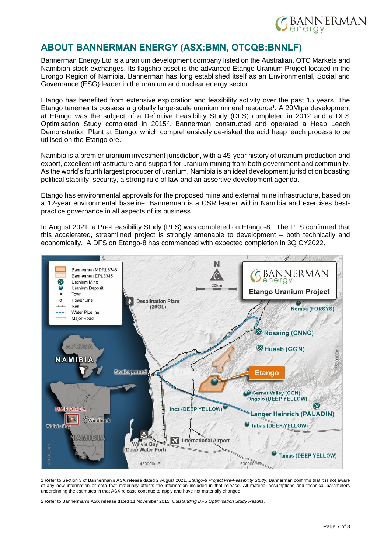

# **ABOUT BANNERMAN ENERGY (ASX:BMN, OTCQB:BNNLF)**

Bannerman Energy Ltd is a uranium development company listed on the Australian, OTC Markets and Namibian stock exchanges. Its flagship asset is the advanced Etango Uranium Project located in the Erongo Region of Namibia. Bannerman has long established itself as an Environmental, Social and Governance (ESG) leader in the uranium and nuclear energy sector.

Etango has benefited from extensive exploration and feasibility activity over the past 15 years. The Etango tenements possess a globally large-scale uranium mineral resource<sup>1</sup>. A 20Mtpa development at Etango was the subject of a Definitive Feasibility Study (DFS) completed in 2012 and a DFS Optimisation Study completed in 2015<sup>2</sup>. Bannerman constructed and operated a Heap Leach Demonstration Plant at Etango, which comprehensively de-risked the acid heap leach process to be utilised on the Etango ore.

Namibia is a premier uranium investment jurisdiction, with a 45-year history of uranium production and export, excellent infrastructure and support for uranium mining from both government and community. As the world's fourth largest producer of uranium, Namibia is an ideal development jurisdiction boasting political stability, security, a strong rule of law and an assertive development agenda.

Etango has environmental approvals for the proposed mine and external mine infrastructure, based on a 12-year environmental baseline. Bannerman is a CSR leader within Namibia and exercises bestpractice governance in all aspects of its business.

In August 2021, a Pre-Feasibility Study (PFS) was completed on Etango-8. The PFS confirmed that this accelerated, streamlined project is strongly amenable to development – both technically and economically. A DFS on Etango-8 has commenced with expected completion in 3Q CY2022.



1 Refer to Section 3 of Bannerman's ASX release dated 2 August 2021, *Etango-8 Project Pre-Feasibility Study*. Bannerman confirms that it is not aware of any new information or data that materially affects the information included in that release. All material assumptions and technical parameters underpinning the estimates in that ASX release continue to apply and have not materially changed.

2 Refer to Bannerman's ASX release dated 11 November 2015, *Outstanding DFS Optimisation Study Results*.